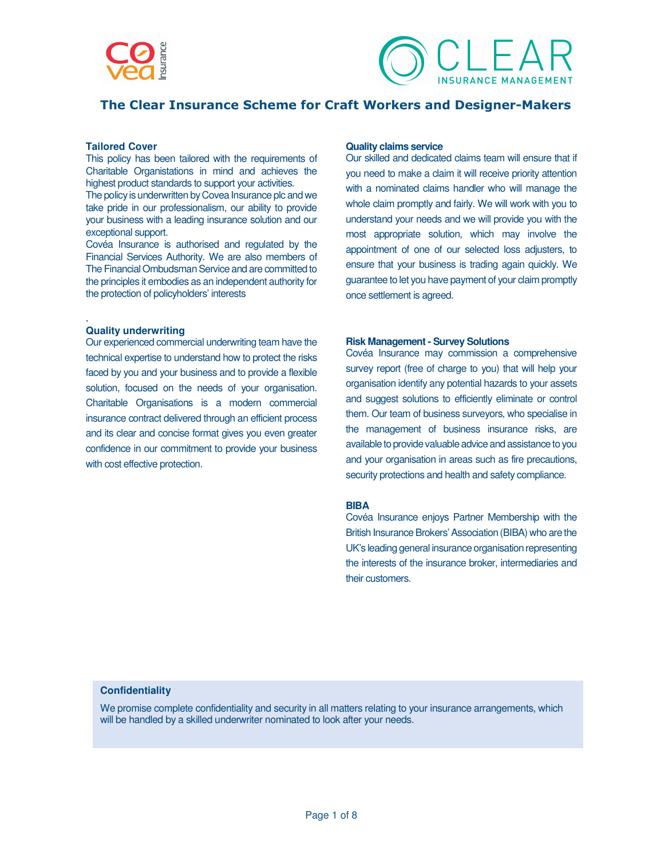



# **The Clear Insurance Scheme for Craft Workers and Designer-Makers**

## **Tailored Cover**

This policy has been tailored with the requirements of Charitable Organistations in mind and achieves the highest product standards to support your activities.

The policy is underwritten by Covea Insurance plc and we take pride in our professionalism, our ability to provide your business with a leading insurance solution and our exceptional support.

Covéa Insurance is authorised and regulated by the Financial Services Authority. We are also members of The Financial Ombudsman Service and are committed to the principles it embodies as an independent authority for the protection of policyholders' interests

### . **Quality underwriting**

Our experienced commercial underwriting team have the technical expertise to understand how to protect the risks faced by you and your business and to provide a flexible solution, focused on the needs of your organisation. Charitable Organisations is a modern commercial insurance contract delivered through an efficient process and its clear and concise format gives you even greater confidence in our commitment to provide your business with cost effective protection.

### **Quality claims service**

Our skilled and dedicated claims team will ensure that if you need to make a claim it will receive priority attention with a nominated claims handler who will manage the whole claim promptly and fairly. We will work with you to understand your needs and we will provide you with the most appropriate solution, which may involve the appointment of one of our selected loss adjusters, to ensure that your business is trading again quickly. We guarantee to let you have payment of your claim promptly once settlement is agreed.

### **Risk Management - Survey Solutions**

Covéa Insurance may commission a comprehensive survey report (free of charge to you) that will help your organisation identify any potential hazards to your assets and suggest solutions to efficiently eliminate or control them. Our team of business surveyors, who specialise in the management of business insurance risks, are available to provide valuable advice and assistance to you and your organisation in areas such as fire precautions, security protections and health and safety compliance.

## **BIBA**

Covéa Insurance enjoys Partner Membership with the British Insurance Brokers' Association (BIBA) who are the UK's leading general insurance organisation representing the interests of the insurance broker, intermediaries and their customers.

## **Confidentiality**

We promise complete confidentiality and security in all matters relating to your insurance arrangements, which will be handled by a skilled underwriter nominated to look after your needs.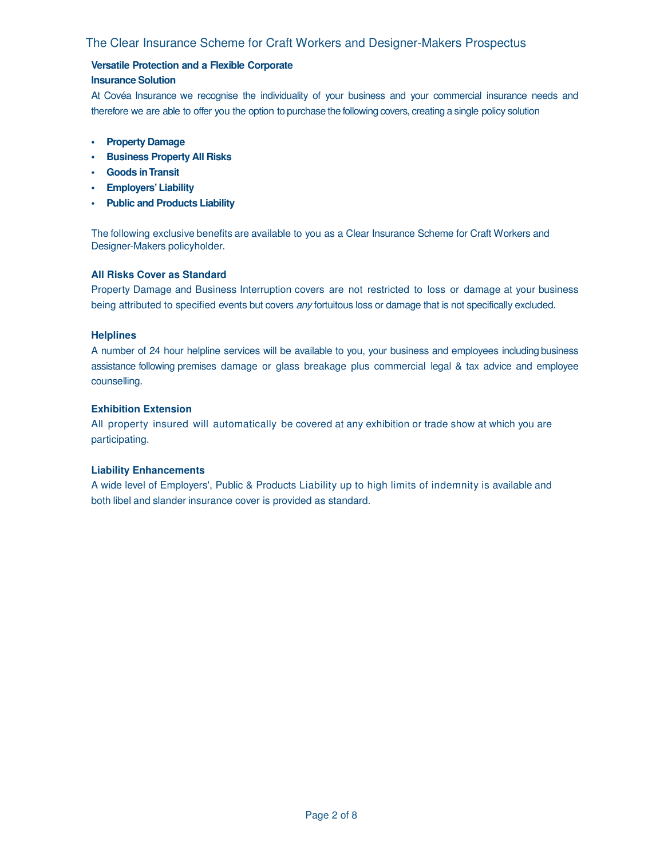# The Clear Insurance Scheme for Craft Workers and Designer-Makers Prospectus

# **Versatile Protection and a Flexible Corporate**

# **Insurance Solution**

At Covéa Insurance we recognise the individuality of your business and your commercial insurance needs and therefore we are able to offer you the option to purchase the following covers, creating a single policy solution

- **Property Damage**
- **Business Property All Risks**
- **Goods in Transit**
- **Employers' Liability**
- **Public and Products Liability**

The following exclusive benefits are available to you as a Clear Insurance Scheme for Craft Workers and Designer-Makers policyholder.

## **All Risks Cover as Standard**

Property Damage and Business Interruption covers are not restricted to loss or damage at your business being attributed to specified events but covers any fortuitous loss or damage that is not specifically excluded.

## **Helplines**

A number of 24 hour helpline services will be available to you, your business and employees including business assistance following premises damage or glass breakage plus commercial legal & tax advice and employee counselling.

## **Exhibition Extension**

All property insured will automatically be covered at any exhibition or trade show at which you are participating.

# **Liability Enhancements**

A wide level of Employers', Public & Products Liability up to high limits of indemnity is available and both libel and slander insurance cover is provided as standard.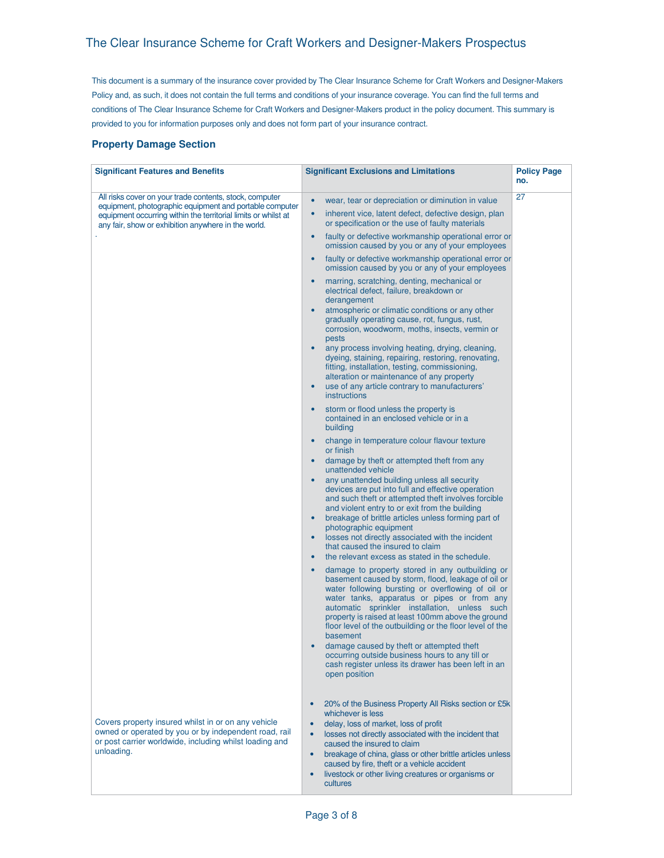This document is a summary of the insurance cover provided by The Clear Insurance Scheme for Craft Workers and Designer-Makers Policy and, as such, it does not contain the full terms and conditions of your insurance coverage. You can find the full terms and conditions of The Clear Insurance Scheme for Craft Workers and Designer-Makers product in the policy document. This summary is provided to you for information purposes only and does not form part of your insurance contract.

## **Property Damage Section**

| <b>Significant Features and Benefits</b>                                                                                                                                                                                                    | <b>Significant Exclusions and Limitations</b>                                                                                                                                                                                                                                                                                                                                                                                                                                                                                                                                                                                                                                                                                                                                                                      | <b>Policy Page</b><br>no. |
|---------------------------------------------------------------------------------------------------------------------------------------------------------------------------------------------------------------------------------------------|--------------------------------------------------------------------------------------------------------------------------------------------------------------------------------------------------------------------------------------------------------------------------------------------------------------------------------------------------------------------------------------------------------------------------------------------------------------------------------------------------------------------------------------------------------------------------------------------------------------------------------------------------------------------------------------------------------------------------------------------------------------------------------------------------------------------|---------------------------|
| All risks cover on your trade contents, stock, computer<br>equipment, photographic equipment and portable computer<br>equipment occurring within the territorial limits or whilst at<br>any fair, show or exhibition anywhere in the world. | $\bullet$<br>wear, tear or depreciation or diminution in value                                                                                                                                                                                                                                                                                                                                                                                                                                                                                                                                                                                                                                                                                                                                                     | 27                        |
|                                                                                                                                                                                                                                             | inherent vice, latent defect, defective design, plan<br>$\bullet$<br>or specification or the use of faulty materials                                                                                                                                                                                                                                                                                                                                                                                                                                                                                                                                                                                                                                                                                               |                           |
|                                                                                                                                                                                                                                             | faulty or defective workmanship operational error or<br>$\bullet$<br>omission caused by you or any of your employees                                                                                                                                                                                                                                                                                                                                                                                                                                                                                                                                                                                                                                                                                               |                           |
|                                                                                                                                                                                                                                             | faulty or defective workmanship operational error or<br>$\bullet$<br>omission caused by you or any of your employees                                                                                                                                                                                                                                                                                                                                                                                                                                                                                                                                                                                                                                                                                               |                           |
|                                                                                                                                                                                                                                             | marring, scratching, denting, mechanical or<br>$\bullet$<br>electrical defect, failure, breakdown or<br>derangement<br>atmospheric or climatic conditions or any other<br>$\bullet$<br>gradually operating cause, rot, fungus, rust,<br>corrosion, woodworm, moths, insects, vermin or<br>pests<br>any process involving heating, drying, cleaning,<br>$\bullet$<br>dyeing, staining, repairing, restoring, renovating,<br>fitting, installation, testing, commissioning,<br>alteration or maintenance of any property<br>use of any article contrary to manufacturers'<br>$\bullet$<br><b>instructions</b>                                                                                                                                                                                                        |                           |
|                                                                                                                                                                                                                                             | storm or flood unless the property is<br>$\bullet$<br>contained in an enclosed vehicle or in a<br>building                                                                                                                                                                                                                                                                                                                                                                                                                                                                                                                                                                                                                                                                                                         |                           |
|                                                                                                                                                                                                                                             | change in temperature colour flavour texture<br>or finish<br>damage by theft or attempted theft from any<br>$\bullet$<br>unattended vehicle<br>any unattended building unless all security<br>$\bullet$<br>devices are put into full and effective operation<br>and such theft or attempted theft involves forcible<br>and violent entry to or exit from the building<br>breakage of brittle articles unless forming part of<br>$\bullet$<br>photographic equipment<br>losses not directly associated with the incident<br>$\bullet$<br>that caused the insured to claim<br>the relevant excess as stated in the schedule.<br>$\bullet$<br>damage to property stored in any outbuilding or<br>$\bullet$<br>basement caused by storm, flood, leakage of oil or<br>water following bursting or overflowing of oil or |                           |
|                                                                                                                                                                                                                                             | water tanks, apparatus or pipes or from any<br>automatic sprinkler installation, unless such<br>property is raised at least 100mm above the ground<br>floor level of the outbuilding or the floor level of the<br>basement<br>damage caused by theft or attempted theft<br>occurring outside business hours to any till or<br>cash register unless its drawer has been left in an<br>open position                                                                                                                                                                                                                                                                                                                                                                                                                 |                           |
| Covers property insured whilst in or on any vehicle<br>owned or operated by you or by independent road, rail<br>or post carrier worldwide, including whilst loading and<br>unloading.                                                       | 20% of the Business Property All Risks section or £5k<br>$\bullet$<br>whichever is less<br>delay, loss of market, loss of profit<br>$\bullet$<br>losses not directly associated with the incident that<br>$\bullet$<br>caused the insured to claim<br>breakage of china, glass or other brittle articles unless<br>٠<br>caused by fire, theft or a vehicle accident<br>livestock or other living creatures or organisms or<br>$\bullet$<br>cultures                                                                                                                                                                                                                                                                                                                                                                |                           |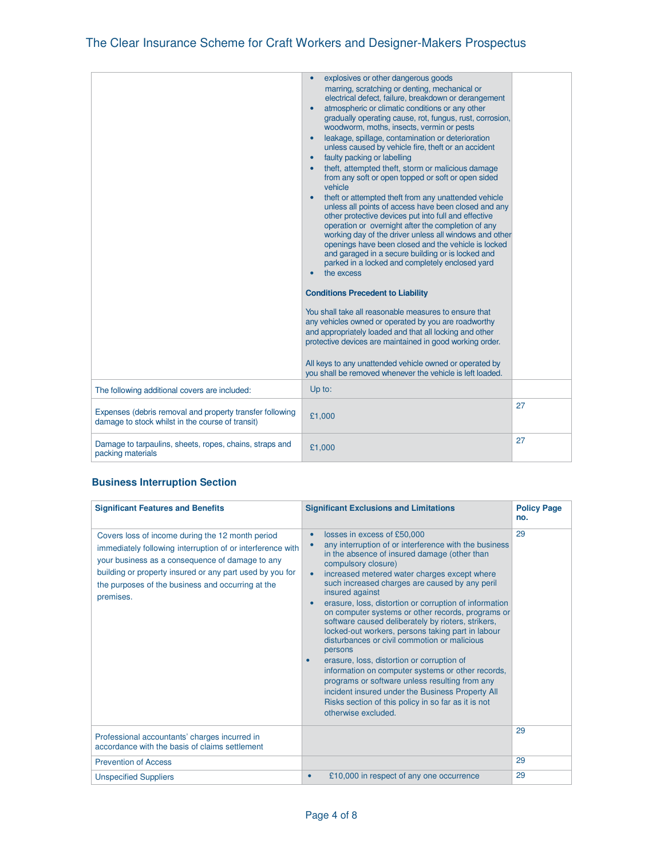|                                                                                                              | explosives or other dangerous goods<br>marring, scratching or denting, mechanical or<br>electrical defect, failure, breakdown or derangement<br>atmospheric or climatic conditions or any other<br>gradually operating cause, rot, fungus, rust, corrosion,<br>woodworm, moths, insects, vermin or pests<br>leakage, spillage, contamination or deterioration<br>unless caused by vehicle fire, theft or an accident<br>faulty packing or labelling<br>$\bullet$<br>theft, attempted theft, storm or malicious damage<br>from any soft or open topped or soft or open sided<br>vehicle<br>theft or attempted theft from any unattended vehicle<br>unless all points of access have been closed and any<br>other protective devices put into full and effective<br>operation or overnight after the completion of any<br>working day of the driver unless all windows and other<br>openings have been closed and the vehicle is locked<br>and garaged in a secure building or is locked and<br>parked in a locked and completely enclosed yard<br>the excess<br><b>Conditions Precedent to Liability</b><br>You shall take all reasonable measures to ensure that<br>any vehicles owned or operated by you are roadworthy<br>and appropriately loaded and that all locking and other<br>protective devices are maintained in good working order.<br>All keys to any unattended vehicle owned or operated by<br>you shall be removed whenever the vehicle is left loaded. |    |
|--------------------------------------------------------------------------------------------------------------|-------------------------------------------------------------------------------------------------------------------------------------------------------------------------------------------------------------------------------------------------------------------------------------------------------------------------------------------------------------------------------------------------------------------------------------------------------------------------------------------------------------------------------------------------------------------------------------------------------------------------------------------------------------------------------------------------------------------------------------------------------------------------------------------------------------------------------------------------------------------------------------------------------------------------------------------------------------------------------------------------------------------------------------------------------------------------------------------------------------------------------------------------------------------------------------------------------------------------------------------------------------------------------------------------------------------------------------------------------------------------------------------------------------------------------------------------------------------------|----|
| The following additional covers are included:                                                                | Up to:                                                                                                                                                                                                                                                                                                                                                                                                                                                                                                                                                                                                                                                                                                                                                                                                                                                                                                                                                                                                                                                                                                                                                                                                                                                                                                                                                                                                                                                                  |    |
| Expenses (debris removal and property transfer following<br>damage to stock whilst in the course of transit) | £1,000                                                                                                                                                                                                                                                                                                                                                                                                                                                                                                                                                                                                                                                                                                                                                                                                                                                                                                                                                                                                                                                                                                                                                                                                                                                                                                                                                                                                                                                                  | 27 |
| Damage to tarpaulins, sheets, ropes, chains, straps and<br>packing materials                                 | £1,000                                                                                                                                                                                                                                                                                                                                                                                                                                                                                                                                                                                                                                                                                                                                                                                                                                                                                                                                                                                                                                                                                                                                                                                                                                                                                                                                                                                                                                                                  | 27 |

# **Business Interruption Section**

| <b>Significant Features and Benefits</b>                                                                                                                                                                                                                                                        | <b>Significant Exclusions and Limitations</b>                                                                                                                                                                                                                                                                                                                                                                                                                                                                                                                                                                                                                                                                                                                                                                                                                                                                    | <b>Policy Page</b><br>no. |
|-------------------------------------------------------------------------------------------------------------------------------------------------------------------------------------------------------------------------------------------------------------------------------------------------|------------------------------------------------------------------------------------------------------------------------------------------------------------------------------------------------------------------------------------------------------------------------------------------------------------------------------------------------------------------------------------------------------------------------------------------------------------------------------------------------------------------------------------------------------------------------------------------------------------------------------------------------------------------------------------------------------------------------------------------------------------------------------------------------------------------------------------------------------------------------------------------------------------------|---------------------------|
| Covers loss of income during the 12 month period<br>immediately following interruption of or interference with<br>your business as a consequence of damage to any<br>building or property insured or any part used by you for<br>the purposes of the business and occurring at the<br>premises. | losses in excess of £50,000<br>$\bullet$<br>any interruption of or interference with the business<br>$\bullet$<br>in the absence of insured damage (other than<br>compulsory closure)<br>increased metered water charges except where<br>$\bullet$<br>such increased charges are caused by any peril<br>insured against<br>erasure, loss, distortion or corruption of information<br>on computer systems or other records, programs or<br>software caused deliberately by rioters, strikers,<br>locked-out workers, persons taking part in labour<br>disturbances or civil commotion or malicious<br>persons<br>erasure, loss, distortion or corruption of<br>$\bullet$<br>information on computer systems or other records,<br>programs or software unless resulting from any<br>incident insured under the Business Property All<br>Risks section of this policy in so far as it is not<br>otherwise excluded. | 29                        |
| Professional accountants' charges incurred in<br>accordance with the basis of claims settlement                                                                                                                                                                                                 |                                                                                                                                                                                                                                                                                                                                                                                                                                                                                                                                                                                                                                                                                                                                                                                                                                                                                                                  | 29                        |
| <b>Prevention of Access</b>                                                                                                                                                                                                                                                                     |                                                                                                                                                                                                                                                                                                                                                                                                                                                                                                                                                                                                                                                                                                                                                                                                                                                                                                                  | 29                        |
| <b>Unspecified Suppliers</b>                                                                                                                                                                                                                                                                    | £10,000 in respect of any one occurrence                                                                                                                                                                                                                                                                                                                                                                                                                                                                                                                                                                                                                                                                                                                                                                                                                                                                         | 29                        |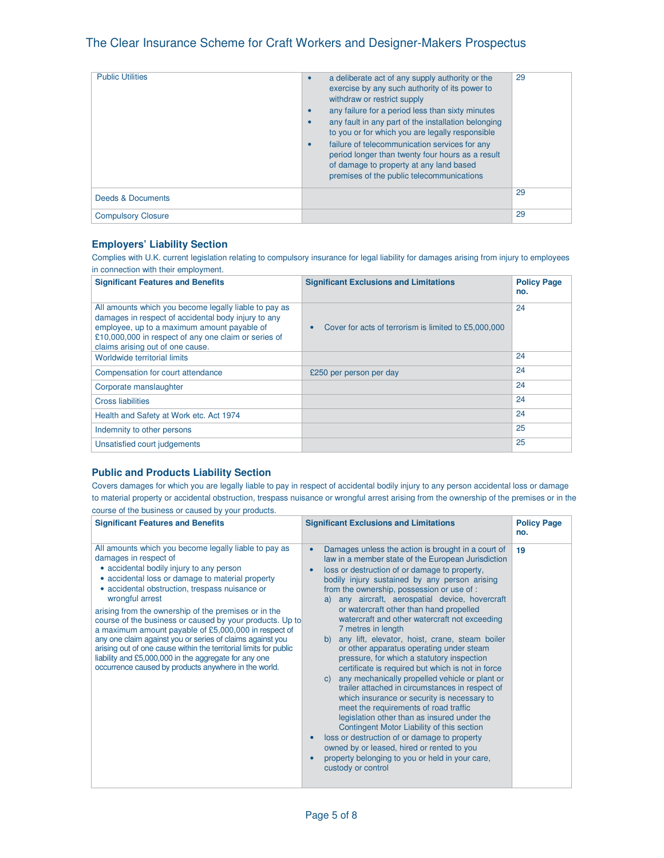# The Clear Insurance Scheme for Craft Workers and Designer-Makers Prospectus

| <b>Public Utilities</b>   | a deliberate act of any supply authority or the<br>exercise by any such authority of its power to<br>withdraw or restrict supply<br>any failure for a period less than sixty minutes<br>any fault in any part of the installation belonging<br>to you or for which you are legally responsible<br>failure of telecommunication services for any<br>period longer than twenty four hours as a result<br>of damage to property at any land based<br>premises of the public telecommunications | 29 |
|---------------------------|---------------------------------------------------------------------------------------------------------------------------------------------------------------------------------------------------------------------------------------------------------------------------------------------------------------------------------------------------------------------------------------------------------------------------------------------------------------------------------------------|----|
| Deeds & Documents         |                                                                                                                                                                                                                                                                                                                                                                                                                                                                                             | 29 |
| <b>Compulsory Closure</b> |                                                                                                                                                                                                                                                                                                                                                                                                                                                                                             | 29 |

# **Employers' Liability Section**

Complies with U.K. current legislation relating to compulsory insurance for legal liability for damages arising from injury to employees in connection with their employment.

| <b>Significant Features and Benefits</b>                                                                                                                                                                                                                | <b>Significant Exclusions and Limitations</b>                     | <b>Policy Page</b><br>no. |
|---------------------------------------------------------------------------------------------------------------------------------------------------------------------------------------------------------------------------------------------------------|-------------------------------------------------------------------|---------------------------|
| All amounts which you become legally liable to pay as<br>damages in respect of accidental body injury to any<br>employee, up to a maximum amount payable of<br>£10,000,000 in respect of any one claim or series of<br>claims arising out of one cause. | Cover for acts of terrorism is limited to £5,000,000<br>$\bullet$ | 24                        |
| Worldwide territorial limits                                                                                                                                                                                                                            |                                                                   | 24                        |
| Compensation for court attendance                                                                                                                                                                                                                       | £250 per person per day                                           | 24                        |
| Corporate manslaughter                                                                                                                                                                                                                                  |                                                                   | 24                        |
| <b>Cross liabilities</b>                                                                                                                                                                                                                                |                                                                   | 24                        |
| Health and Safety at Work etc. Act 1974                                                                                                                                                                                                                 |                                                                   | 24                        |
| Indemnity to other persons                                                                                                                                                                                                                              |                                                                   | 25                        |
| Unsatisfied court judgements                                                                                                                                                                                                                            |                                                                   | 25                        |

# **Public and Products Liability Section**

Covers damages for which you are legally liable to pay in respect of accidental bodily injury to any person accidental loss or damage to material property or accidental obstruction, trespass nuisance or wrongful arrest arising from the ownership of the premises or in the

course of the business or caused by your products. **Significant Features and Benefits Significant Exclusions and Limitations Policy Page no.**  All amounts which you become legally liable to pay as damages in respect of • accidental bodily injury to any person • accidental loss or damage to material property • accidental obstruction, trespass nuisance or wrongful arrest arising from the ownership of the premises or in the course of the business or caused by your products. Up to a maximum amount payable of £5,000,000 in respect of any one claim against you or series of claims against you arising out of one cause within the territorial limits for public liability and £5,000,000 in the aggregate for any one occurrence caused by products anywhere in the world. • Damages unless the action is brought in a court of law in a member state of the European Jurisdiction loss or destruction of or damage to property, bodily injury sustained by any person arising from the ownership, possession or use of : a) any aircraft, aerospatial device, hovercraft or watercraft other than hand propelled watercraft and other watercraft not exceeding 7 metres in length b) any lift, elevator, hoist, crane, steam boiler or other apparatus operating under steam pressure, for which a statutory inspection certificate is required but which is not in force c) any mechanically propelled vehicle or plant or trailer attached in circumstances in respect of which insurance or security is necessary to meet the requirements of road traffic legislation other than as insured under the Contingent Motor Liability of this section • loss or destruction of or damage to property owned by or leased, hired or rented to you • property belonging to you or held in your care, custody or control **19**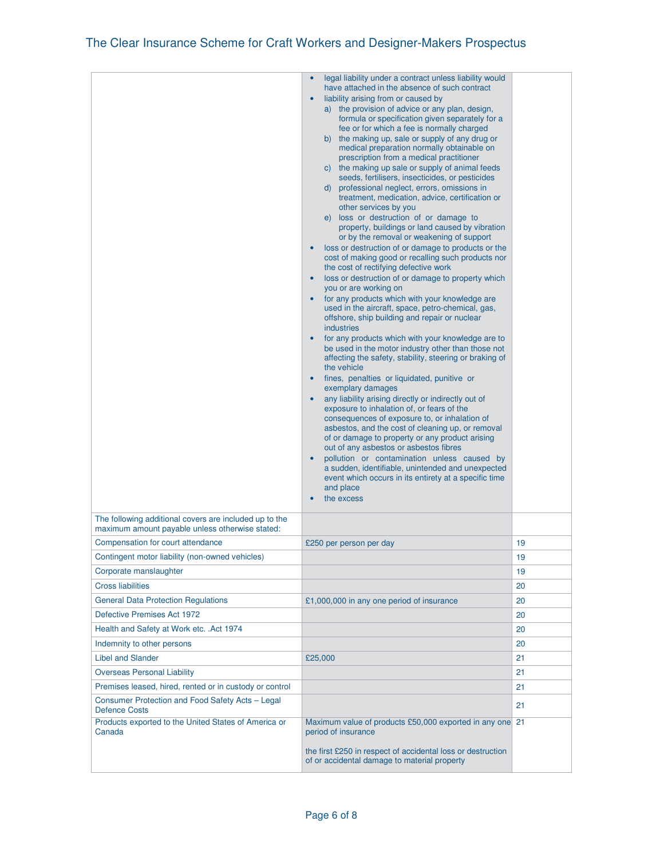|                                                                                                           | legal liability under a contract unless liability would<br>have attached in the absence of such contract<br>liability arising from or caused by<br>٠<br>a) the provision of advice or any plan, design,<br>formula or specification given separately for a<br>fee or for which a fee is normally charged<br>b) the making up, sale or supply of any drug or<br>medical preparation normally obtainable on<br>prescription from a medical practitioner<br>c) the making up sale or supply of animal feeds<br>seeds, fertilisers, insecticides, or pesticides<br>d) professional neglect, errors, omissions in<br>treatment, medication, advice, certification or<br>other services by you<br>e) loss or destruction of or damage to<br>property, buildings or land caused by vibration<br>or by the removal or weakening of support<br>loss or destruction of or damage to products or the<br>cost of making good or recalling such products nor<br>the cost of rectifying defective work<br>loss or destruction of or damage to property which<br>you or are working on<br>for any products which with your knowledge are<br>used in the aircraft, space, petro-chemical, gas,<br>offshore, ship building and repair or nuclear<br>industries<br>for any products which with your knowledge are to<br>be used in the motor industry other than those not<br>affecting the safety, stability, steering or braking of<br>the vehicle<br>fines, penalties or liquidated, punitive or<br>exemplary damages<br>any liability arising directly or indirectly out of<br>exposure to inhalation of, or fears of the<br>consequences of exposure to, or inhalation of<br>asbestos, and the cost of cleaning up, or removal<br>of or damage to property or any product arising<br>out of any asbestos or asbestos fibres<br>pollution or contamination unless caused by<br>a sudden, identifiable, unintended and unexpected<br>event which occurs in its entirety at a specific time<br>and place<br>the excess |    |
|-----------------------------------------------------------------------------------------------------------|--------------------------------------------------------------------------------------------------------------------------------------------------------------------------------------------------------------------------------------------------------------------------------------------------------------------------------------------------------------------------------------------------------------------------------------------------------------------------------------------------------------------------------------------------------------------------------------------------------------------------------------------------------------------------------------------------------------------------------------------------------------------------------------------------------------------------------------------------------------------------------------------------------------------------------------------------------------------------------------------------------------------------------------------------------------------------------------------------------------------------------------------------------------------------------------------------------------------------------------------------------------------------------------------------------------------------------------------------------------------------------------------------------------------------------------------------------------------------------------------------------------------------------------------------------------------------------------------------------------------------------------------------------------------------------------------------------------------------------------------------------------------------------------------------------------------------------------------------------------------------------------------------------------------------------------------------------------------------------------------------------|----|
| The following additional covers are included up to the<br>maximum amount payable unless otherwise stated: |                                                                                                                                                                                                                                                                                                                                                                                                                                                                                                                                                                                                                                                                                                                                                                                                                                                                                                                                                                                                                                                                                                                                                                                                                                                                                                                                                                                                                                                                                                                                                                                                                                                                                                                                                                                                                                                                                                                                                                                                        |    |
| Compensation for court attendance                                                                         | £250 per person per day                                                                                                                                                                                                                                                                                                                                                                                                                                                                                                                                                                                                                                                                                                                                                                                                                                                                                                                                                                                                                                                                                                                                                                                                                                                                                                                                                                                                                                                                                                                                                                                                                                                                                                                                                                                                                                                                                                                                                                                | 19 |
| Contingent motor liability (non-owned vehicles)                                                           |                                                                                                                                                                                                                                                                                                                                                                                                                                                                                                                                                                                                                                                                                                                                                                                                                                                                                                                                                                                                                                                                                                                                                                                                                                                                                                                                                                                                                                                                                                                                                                                                                                                                                                                                                                                                                                                                                                                                                                                                        | 19 |
| Corporate manslaughter                                                                                    |                                                                                                                                                                                                                                                                                                                                                                                                                                                                                                                                                                                                                                                                                                                                                                                                                                                                                                                                                                                                                                                                                                                                                                                                                                                                                                                                                                                                                                                                                                                                                                                                                                                                                                                                                                                                                                                                                                                                                                                                        | 19 |
| <b>Cross liabilities</b>                                                                                  |                                                                                                                                                                                                                                                                                                                                                                                                                                                                                                                                                                                                                                                                                                                                                                                                                                                                                                                                                                                                                                                                                                                                                                                                                                                                                                                                                                                                                                                                                                                                                                                                                                                                                                                                                                                                                                                                                                                                                                                                        | 20 |
| <b>General Data Protection Regulations</b>                                                                | £1,000,000 in any one period of insurance                                                                                                                                                                                                                                                                                                                                                                                                                                                                                                                                                                                                                                                                                                                                                                                                                                                                                                                                                                                                                                                                                                                                                                                                                                                                                                                                                                                                                                                                                                                                                                                                                                                                                                                                                                                                                                                                                                                                                              | 20 |
| Defective Premises Act 1972                                                                               |                                                                                                                                                                                                                                                                                                                                                                                                                                                                                                                                                                                                                                                                                                                                                                                                                                                                                                                                                                                                                                                                                                                                                                                                                                                                                                                                                                                                                                                                                                                                                                                                                                                                                                                                                                                                                                                                                                                                                                                                        | 20 |
| Health and Safety at Work etc. . Act 1974                                                                 |                                                                                                                                                                                                                                                                                                                                                                                                                                                                                                                                                                                                                                                                                                                                                                                                                                                                                                                                                                                                                                                                                                                                                                                                                                                                                                                                                                                                                                                                                                                                                                                                                                                                                                                                                                                                                                                                                                                                                                                                        | 20 |
| Indemnity to other persons                                                                                |                                                                                                                                                                                                                                                                                                                                                                                                                                                                                                                                                                                                                                                                                                                                                                                                                                                                                                                                                                                                                                                                                                                                                                                                                                                                                                                                                                                                                                                                                                                                                                                                                                                                                                                                                                                                                                                                                                                                                                                                        | 20 |
| <b>Libel and Slander</b>                                                                                  | £25,000                                                                                                                                                                                                                                                                                                                                                                                                                                                                                                                                                                                                                                                                                                                                                                                                                                                                                                                                                                                                                                                                                                                                                                                                                                                                                                                                                                                                                                                                                                                                                                                                                                                                                                                                                                                                                                                                                                                                                                                                | 21 |
| <b>Overseas Personal Liability</b>                                                                        |                                                                                                                                                                                                                                                                                                                                                                                                                                                                                                                                                                                                                                                                                                                                                                                                                                                                                                                                                                                                                                                                                                                                                                                                                                                                                                                                                                                                                                                                                                                                                                                                                                                                                                                                                                                                                                                                                                                                                                                                        | 21 |
| Premises leased, hired, rented or in custody or control                                                   |                                                                                                                                                                                                                                                                                                                                                                                                                                                                                                                                                                                                                                                                                                                                                                                                                                                                                                                                                                                                                                                                                                                                                                                                                                                                                                                                                                                                                                                                                                                                                                                                                                                                                                                                                                                                                                                                                                                                                                                                        | 21 |
| Consumer Protection and Food Safety Acts - Legal<br><b>Defence Costs</b>                                  |                                                                                                                                                                                                                                                                                                                                                                                                                                                                                                                                                                                                                                                                                                                                                                                                                                                                                                                                                                                                                                                                                                                                                                                                                                                                                                                                                                                                                                                                                                                                                                                                                                                                                                                                                                                                                                                                                                                                                                                                        | 21 |
| Products exported to the United States of America or<br>Canada                                            | Maximum value of products £50,000 exported in any one 21<br>period of insurance                                                                                                                                                                                                                                                                                                                                                                                                                                                                                                                                                                                                                                                                                                                                                                                                                                                                                                                                                                                                                                                                                                                                                                                                                                                                                                                                                                                                                                                                                                                                                                                                                                                                                                                                                                                                                                                                                                                        |    |
|                                                                                                           | the first £250 in respect of accidental loss or destruction<br>of or accidental damage to material property                                                                                                                                                                                                                                                                                                                                                                                                                                                                                                                                                                                                                                                                                                                                                                                                                                                                                                                                                                                                                                                                                                                                                                                                                                                                                                                                                                                                                                                                                                                                                                                                                                                                                                                                                                                                                                                                                            |    |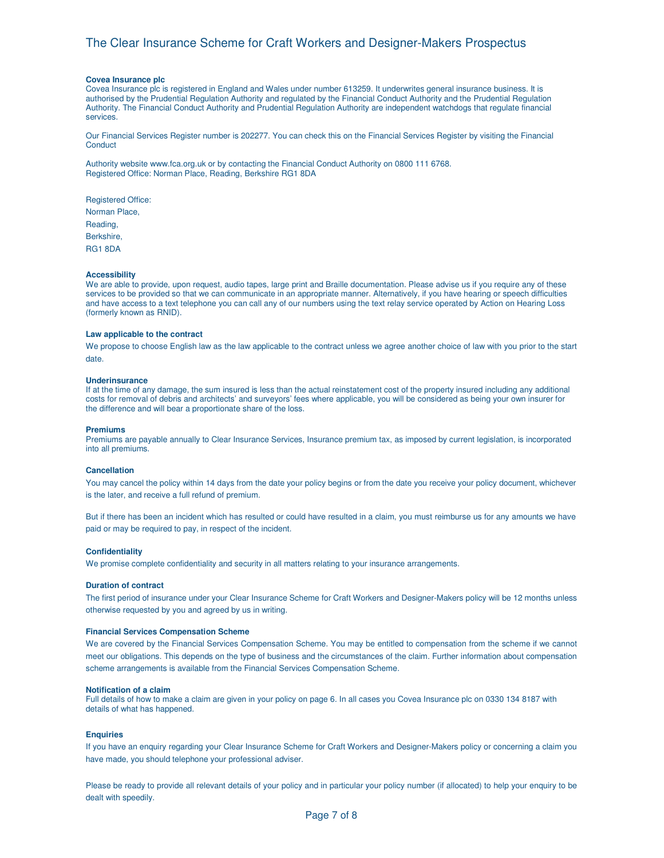# The Clear Insurance Scheme for Craft Workers and Designer-Makers Prospectus

### **Covea Insurance plc**

Covea Insurance plc is registered in England and Wales under number 613259. It underwrites general insurance business. It is authorised by the Prudential Regulation Authority and regulated by the Financial Conduct Authority and the Prudential Regulation Authority. The Financial Conduct Authority and Prudential Regulation Authority are independent watchdogs that regulate financial services.

Our Financial Services Register number is 202277. You can check this on the Financial Services Register by visiting the Financial **Conduct** 

Authority website www.fca.org.uk or by contacting the Financial Conduct Authority on 0800 111 6768. Registered Office: Norman Place, Reading, Berkshire RG1 8DA

Registered Office:

Norman Place,

Reading,

Berkshire, RG1 8DA

### **Accessibility**

We are able to provide, upon request, audio tapes, large print and Braille documentation. Please advise us if you require any of these services to be provided so that we can communicate in an appropriate manner. Alternatively, if you have hearing or speech difficulties and have access to a text telephone you can call any of our numbers using the text relay service operated by Action on Hearing Loss (formerly known as RNID).

### **Law applicable to the contract**

We propose to choose English law as the law applicable to the contract unless we agree another choice of law with you prior to the start date.

### **Underinsurance**

If at the time of any damage, the sum insured is less than the actual reinstatement cost of the property insured including any additional costs for removal of debris and architects' and surveyors' fees where applicable, you will be considered as being your own insurer for the difference and will bear a proportionate share of the loss.

### **Premiums**

Premiums are payable annually to Clear Insurance Services, Insurance premium tax, as imposed by current legislation, is incorporated into all premiums.

### **Cancellation**

You may cancel the policy within 14 days from the date your policy begins or from the date you receive your policy document, whichever is the later, and receive a full refund of premium.

But if there has been an incident which has resulted or could have resulted in a claim, you must reimburse us for any amounts we have paid or may be required to pay, in respect of the incident.

### **Confidentiality**

We promise complete confidentiality and security in all matters relating to your insurance arrangements.

### **Duration of contract**

The first period of insurance under your Clear Insurance Scheme for Craft Workers and Designer-Makers policy will be 12 months unless otherwise requested by you and agreed by us in writing.

### **Financial Services Compensation Scheme**

We are covered by the Financial Services Compensation Scheme. You may be entitled to compensation from the scheme if we cannot meet our obligations. This depends on the type of business and the circumstances of the claim. Further information about compensation scheme arrangements is available from the Financial Services Compensation Scheme.

### **Notification of a claim**

Full details of how to make a claim are given in your policy on page 6. In all cases you Covea Insurance plc on 0330 134 8187 with details of what has happened.

### **Enquiries**

If you have an enquiry regarding your Clear Insurance Scheme for Craft Workers and Designer-Makers policy or concerning a claim you have made, you should telephone your professional adviser.

Please be ready to provide all relevant details of your policy and in particular your policy number (if allocated) to help your enquiry to be dealt with speedily.